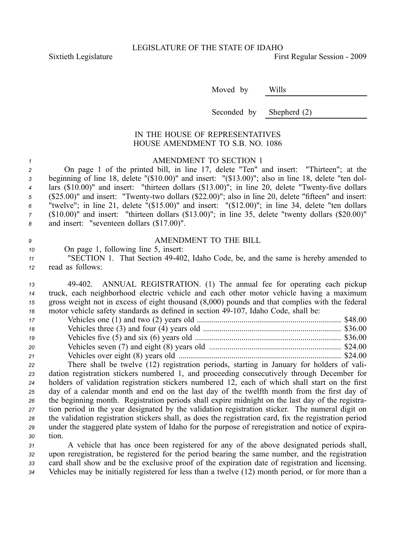Sixtieth Legislature **First** Regular Session - 2009

Moved by Wills

Seconded by Shepherd (2)

## IN THE HOUSE OF REPRESENTATIVES HOUSE AMENDMENT TO S.B. NO. 1086

## *<sup>1</sup>* AMENDMENT TO SECTION 1

 On page 1 of the printed bill, in line 17, delete "Ten" and insert: "Thirteen"; at the beginning of line 18, delete "(\$10.00)" and insert: "(\$13.00)"; also in line 18, delete "ten dol-<sup>4</sup> lars (\$10.00)" and insert: "thirteen dollars (\$13.00)"; in line 20, delete "Twenty-five dollars 5 (\$25.00)" and insert: "Twenty-two dollars (\$22.00)"; also in line 20, delete "fifteen" and insert: "twelve"; in line 21, delete "(\$15.00)" and insert: "(\$12.00)"; in line 34, delete "ten dollars (\$10.00)" and insert: "thirteen dollars (\$13.00)"; in line 35, delete "twenty dollars (\$20.00)" and insert: "seventeen dollars (\$17.00)".

*9* AMENDMENT TO THE BILL

## *<sup>10</sup>* On page 1, following line 5, insert: *<sup>11</sup>* "SECTION 1. That Section 49402, Idaho Code, be, and the same is hereby amended to

*<sup>12</sup>* read as follows:

 49402. ANNUAL REGISTRATION. (1) The annual fee for operating each pickup truck, each neighborhood electric vehicle and each other motor vehicle having <sup>a</sup> maximum gross weight not in excess of eight thousand (8,000) pounds and that complies with the federal motor vehicle safety standards as defined in section 49-107, Idaho Code, shall be:

| 17 |                                                                                           |  |
|----|-------------------------------------------------------------------------------------------|--|
| 18 |                                                                                           |  |
| 19 |                                                                                           |  |
| 20 |                                                                                           |  |
| 21 |                                                                                           |  |
| 22 | There shall be twelve (12) registration periods, starting in January for holders of vali- |  |

 dation registration stickers numbered 1, and proceeding consecutively through December for holders of validation registration stickers numbered 12, each of which shall start on the first day of <sup>a</sup> calendar month and end on the last day of the twelfth month from the first day of the beginning month. Registration periods shall expire midnight on the last day of the registra- tion period in the year designated by the validation registration sticker. The numeral digit on the validation registration stickers shall, as does the registration card, fix the registration period under the staggered plate system of Idaho for the purpose of reregistration and notice of expira-*<sup>30</sup>* tion.

 A vehicle that has once been registered for any of the above designated periods shall, upon reregistration, be registered for the period bearing the same number, and the registration card shall show and be the exclusive proof of the expiration date of registration and licensing. Vehicles may be initially registered for less than <sup>a</sup> twelve (12) month period, or for more than <sup>a</sup>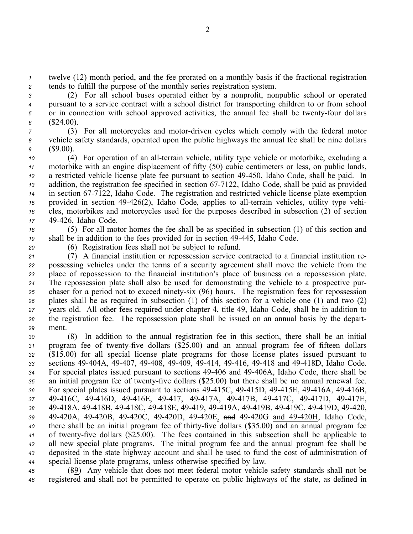*<sup>1</sup>* twelve (12) month period, and the fee prorated on <sup>a</sup> monthly basis if the fractional registration *<sup>2</sup>* tends to fulfill the purpose of the monthly series registration system.

 (2) For all school buses operated either by <sup>a</sup> nonprofit, nonpublic school or operated pursuan<sup>t</sup> to <sup>a</sup> service contract with <sup>a</sup> school district for transporting children to or from school 5 or in connection with school approved activities, the annual fee shall be twenty-four dollars (\$24.00).

*<sup>7</sup>* (3) For all motorcycles and motordriven cycles which comply with the federal motor *<sup>8</sup>* vehicle safety standards, operated upon the public highways the annual fee shall be nine dollars *<sup>9</sup>* (\$9.00).

 (4) For operation of an all-terrain vehicle, utility type vehicle or motorbike, excluding a motorbike with an engine displacement of fifty (50) cubic centimeters or less, on public lands, <sup>a</sup> restricted vehicle license plate fee pursuan<sup>t</sup> to section 49450, Idaho Code, shall be paid. In addition, the registration fee specified in section 677122, Idaho Code, shall be paid as provided in section 677122, Idaho Code. The registration and restricted vehicle license plate exemption provided in section 49-426(2), Idaho Code, applies to all-terrain vehicles, utility type vehi- cles, motorbikes and motorcycles used for the purposes described in subsection (2) of section 49426, Idaho Code.

*<sup>18</sup>* (5) For all motor homes the fee shall be as specified in subsection (1) of this section and *<sup>19</sup>* shall be in addition to the fees provided for in section 49445, Idaho Code.

*<sup>20</sup>* (6) Registration fees shall not be subject to refund.

 (7) A financial institution or repossession service contracted to <sup>a</sup> financial institution re- possessing vehicles under the terms of <sup>a</sup> security agreemen<sup>t</sup> shall move the vehicle from the place of repossession to the financial institution's place of business on <sup>a</sup> repossession plate. The repossession plate shall also be used for demonstrating the vehicle to <sup>a</sup> prospective pur-25 chaser for a period not to exceed ninety-six (96) hours. The registration fees for repossession plates shall be as required in subsection (1) of this section for <sup>a</sup> vehicle one (1) and two (2) years old. All other fees required under chapter 4, title 49, Idaho Code, shall be in addition to the registration fee. The repossession plate shall be issued on an annual basis by the depart-*29* ment.

 (8) In addition to the annual registration fee in this section, there shall be an initial 31 program fee of twenty-five dollars (\$25.00) and an annual program fee of fifteen dollars (\$15.00) for all special license plate programs for those license plates issued pursuan<sup>t</sup> to sections 49404A, 49407, 49408, 49409, 49414, 49416, 49418 and 49418D, Idaho Code. For special plates issued pursuan<sup>t</sup> to sections 49406 and 49406A, Idaho Code, there shall be 35 an initial program fee of twenty-five dollars (\$25.00) but there shall be no annual renewal fee. 36 For special plates issued pursuant to sections 49-415C, 49-415D, 49-415E, 49-416A, 49-416B, 49416C, 49416D, 49416E, 49417, 49417A, 49417B, 49417C, 49417D, 49417E, 49418A, 49418B, 49418C, 49418E, 49419, 49419A, 49419B, 49419C, 49419D, 49420, 49420A, 49420B, 49420C, 49420D, 49420E, and 49420G and 49420H, Idaho Code, 40 there shall be an initial program fee of thirty-five dollars (\$35.00) and an annual program fee of twentyfive dollars (\$25.00). The fees contained in this subsection shall be applicable to all new special plate programs. The initial program fee and the annual program fee shall be deposited in the state highway account and shall be used to fund the cost of administration of special license plate programs, unless otherwise specified by law.

*<sup>45</sup>* (89) Any vehicle that does not meet federal motor vehicle safety standards shall not be *<sup>46</sup>* registered and shall not be permitted to operate on public highways of the state, as defined in